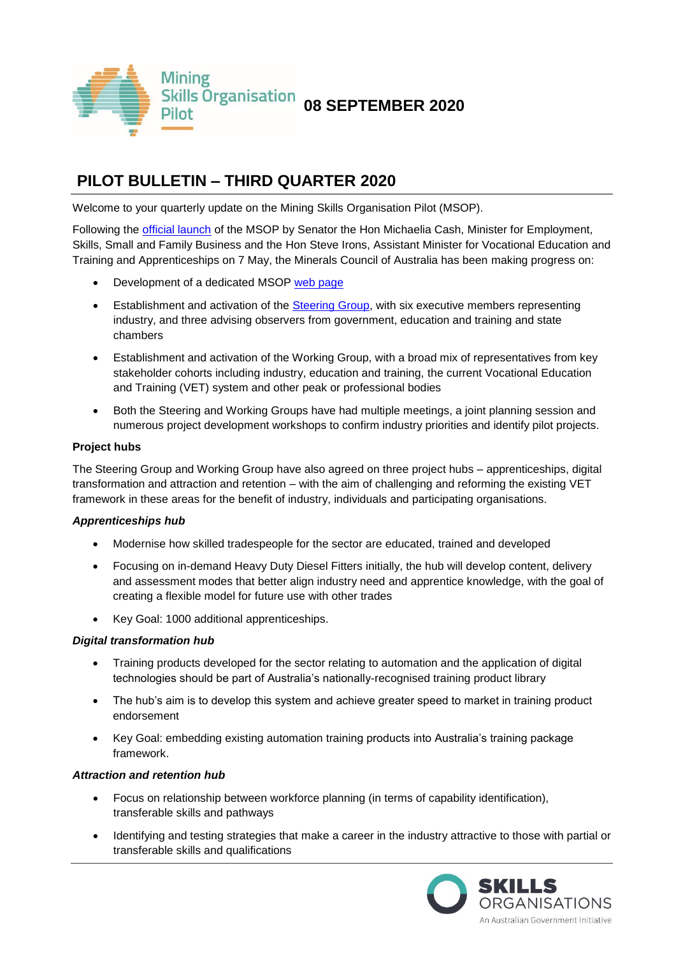

# **PILOT BULLETIN – THIRD QUARTER 2020**

Welcome to your quarterly update on the Mining Skills Organisation Pilot (MSOP).

Following the *official launch* of the MSOP by Senator the Hon Michaelia Cash, Minister for Employment, Skills, Small and Family Business and the Hon Steve Irons, Assistant Minister for Vocational Education and Training and Apprenticeships on 7 May, the Minerals Council of Australia has been making progress on:

- Development of a dedicated MSOP [web page](https://minerals.org.au/mining-skills-organisation-pilot)
- Establishment and activation of the [Steering Group,](https://www.employment.gov.au/mining) with six executive members representing industry, and three advising observers from government, education and training and state chambers
- Establishment and activation of the Working Group, with a broad mix of representatives from key stakeholder cohorts including industry, education and training, the current Vocational Education and Training (VET) system and other peak or professional bodies
- Both the Steering and Working Groups have had multiple meetings, a joint planning session and numerous project development workshops to confirm industry priorities and identify pilot projects.

# **Project hubs**

The Steering Group and Working Group have also agreed on three project hubs – apprenticeships, digital transformation and attraction and retention – with the aim of challenging and reforming the existing VET framework in these areas for the benefit of industry, individuals and participating organisations.

### *Apprenticeships hub*

- Modernise how skilled tradespeople for the sector are educated, trained and developed
- Focusing on in-demand Heavy Duty Diesel Fitters initially, the hub will develop content, delivery and assessment modes that better align industry need and apprentice knowledge, with the goal of creating a flexible model for future use with other trades
- Key Goal: 1000 additional apprenticeships.

### *Digital transformation hub*

- Training products developed for the sector relating to automation and the application of digital technologies should be part of Australia's nationally-recognised training product library
- The hub's aim is to develop this system and achieve greater speed to market in training product endorsement
- Key Goal: embedding existing automation training products into Australia's training package framework.

### *Attraction and retention hub*

- Focus on relationship between workforce planning (in terms of capability identification), transferable skills and pathways
- Identifying and testing strategies that make a career in the industry attractive to those with partial or transferable skills and qualifications